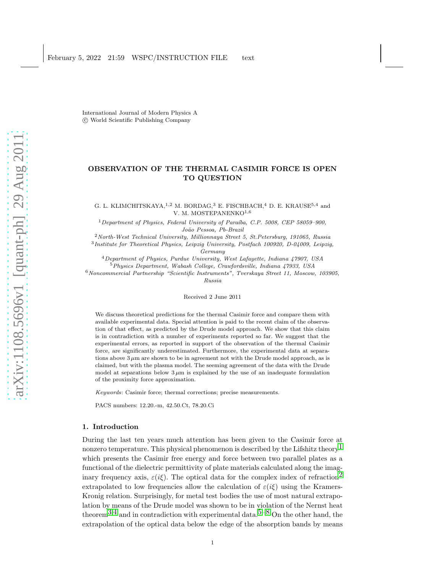International Journal of Modern Physics A c World Scientific Publishing Company

# OBSERVATION OF THE THERMAL CASIMIR FORCE IS OPEN TO QUESTION

G. L. KLIMCHITSKAYA,  $^{1,2}$  M. BORDAG, <sup>3</sup> E. FISCHBACH, <sup>4</sup> D. E. KRAUSE<sup>5,4</sup> and V. M. MOSTEPANENKO<sup>1,6</sup>

 $1$ Department of Physics, Federal University of Paraíba, C.P. 5008, CEP 58059-900, Jo˜ao Pessoa, Pb-Brazil

<sup>2</sup>North-West Technical University, Millionnaya Street 5, St.Petersburg, 191065, Russia <sup>3</sup>Institute for Theoretical Physics, Leipzig University, Postfach 100920, D-04009, Leipzig,

Germany

<sup>4</sup>Department of Physics, Purdue University, West Lafayette, Indiana 47907, USA

<sup>5</sup>Physics Department, Wabash College, Crawfordsville, Indiana 47933, USA

<sup>6</sup>Noncommercial Partnership "Scientific Instruments", Tverskaya Street 11, Moscow, 103905, Russia

Received 2 June 2011

We discuss theoretical predictions for the thermal Casimir force and compare them with available experimental data. Special attention is paid to the recent claim of the observation of that effect, as predicted by the Drude model approach. We show that this claim is in contradiction with a number of experiments reported so far. We suggest that the experimental errors, as reported in support of the observation of the thermal Casimir force, are significantly underestimated. Furthermore, the experimental data at separations above  $3 \mu m$  are shown to be in agreement not with the Drude model approach, as is claimed, but with the plasma model. The seeming agreement of the data with the Drude model at separations below  $3 \mu m$  is explained by the use of an inadequate formulation of the proximity force approximation.

Keywords: Casimir force; thermal corrections; precise measurements.

PACS numbers: 12.20.-m, 42.50.Ct, 78.20.Ci

#### 1. Introduction

During the last ten years much attention has been given to the Casimir force at nonzero temperature. This physical phenomenon is described by the Lifshitz theory<sup>[1](#page-10-0)</sup> which presents the Casimir free energy and force between two parallel plates as a functional of the dielectric permittivity of plate materials calculated along the imaginary frequency axis,  $\varepsilon(i\xi)$ . The optical data for the complex index of refraction<sup>2</sup> extrapolated to low frequencies allow the calculation of  $\varepsilon(i\xi)$  using the Kramers-Kronig relation. Surprisingly, for metal test bodies the use of most natural extrapolation by means of the Drude model was shown to be in violation of the Nernst heat theorem<sup>3,[4](#page-10-3)</sup> and in contradiction with experimental data.<sup>[5–](#page-10-4)[8](#page-11-0)</sup> On the other hand, the extrapolation of the optical data below the edge of the absorption bands by means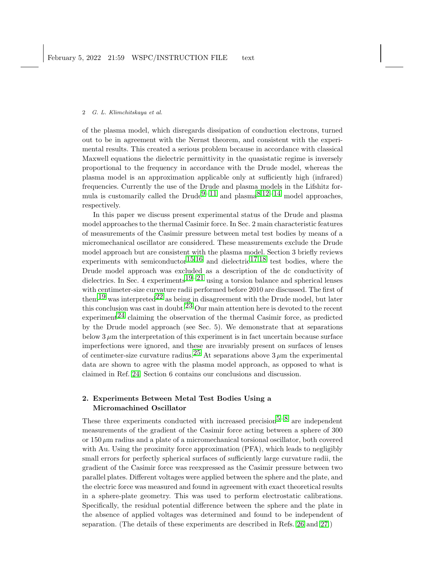of the plasma model, which disregards dissipation of conduction electrons, turned out to be in agreement with the Nernst theorem, and consistent with the experimental results. This created a serious problem because in accordance with classical Maxwell equations the dielectric permittivity in the quasistatic regime is inversely proportional to the frequency in accordance with the Drude model, whereas the plasma model is an approximation applicable only at sufficiently high (infrared) frequencies. Currently the use of the Drude and plasma models in the Lifshitz for-mula is customarily called the Drude<sup>[9–](#page-11-1)[11](#page-11-2)</sup> and plasma<sup>[8](#page-11-0),[12](#page-11-3)[–14](#page-11-4)</sup> model approaches, respectively.

In this paper we discuss present experimental status of the Drude and plasma model approaches to the thermal Casimir force. In Sec. 2 main characteristic features of measurements of the Casimir pressure between metal test bodies by means of a micromechanical oscillator are considered. These measurements exclude the Drude model approach but are consistent with the plasma model. Section 3 briefly reviews experiments with semiconductor  $15,16$  $15,16$  $15,16$  and dielectric  $17,18$  $17,18$  $17,18$  test bodies, where the Drude model approach was excluded as a description of the dc conductivity of dielectrics. In Sec. 4 experiments<sup>[19–](#page-11-9)[21](#page-11-10)</sup> using a torsion balance and spherical lenses with centimeter-size curvature radii performed before 2010 are discussed. The first of them<sup>19</sup> was interpreted<sup>22</sup> as being in disagreement with the Drude model, but later this conclusion was cast in doubt.<sup>[23](#page-11-12)</sup> Our main attention here is devoted to the recent experiment<sup>24</sup> claiming the observation of the thermal Casimir force, as predicted by the Drude model approach (see Sec. 5). We demonstrate that at separations below  $3 \mu$ m the interpretation of this experiment is in fact uncertain because surface imperfections were ignored, and these are invariably present on surfaces of lenses of centimeter-size curvature radius.<sup>[25](#page-11-14)</sup> At separations above  $3 \mu$ m the experimental data are shown to agree with the plasma model approach, as opposed to what is claimed in Ref. [24.](#page-11-13) Section 6 contains our conclusions and discussion.

# 2. Experiments Between Metal Test Bodies Using a Micromachined Oscillator

These three experiments conducted with increased precision<sup>5[–8](#page-11-0)</sup> are independent measurements of the gradient of the Casimir force acting between a sphere of 300 or  $150 \mu m$  radius and a plate of a micromechanical torsional oscillator, both covered with Au. Using the proximity force approximation (PFA), which leads to negligibly small errors for perfectly spherical surfaces of sufficiently large curvature radii, the gradient of the Casimir force was reexpressed as the Casimir pressure between two parallel plates. Different voltages were applied between the sphere and the plate, and the electric force was measured and found in agreement with exact theoretical results in a sphere-plate geometry. This was used to perform electrostatic calibrations. Specifically, the residual potential difference between the sphere and the plate in the absence of applied voltages was determined and found to be independent of separation. (The details of these experiments are described in Refs. [26](#page-11-15) and [27.](#page-11-16))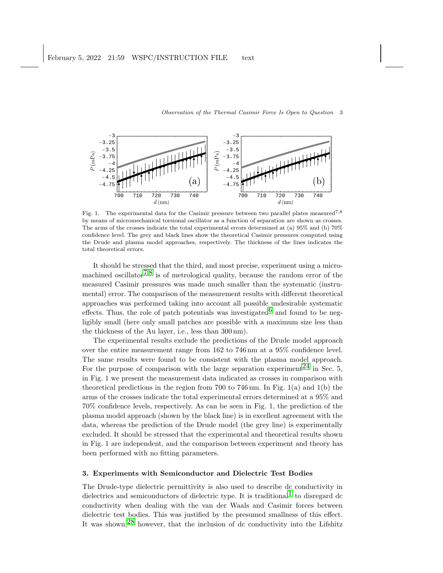

Fig. 1. The experimental data for the Casimir pressure between two parallel plates measured<sup>7,8</sup> by means of micromechanical torsional oscillator as a function of separation are shown as crosses. The arms of the crosses indicate the total experimental errors determined at (a) 95% and (b) 70% confidence level. The grey and black lines show the theoretical Casimir pressures computed using the Drude and plasma model approaches, respectively. The thickness of the lines indicates the total theoretical errors.

It should be stressed that the third, and most precise, experiment using a micro-machined oscillator<sup>[7](#page-10-5),[8](#page-11-0)</sup> is of metrological quality, because the random error of the measured Casimir pressures was made much smaller than the systematic (instrumental) error. The comparison of the measurement results with different theoretical approaches was performed taking into account all possible undesirable systematic effects. Thus, the role of patch potentials was investigated  $6$  and found to be negligibly small (here only small patches are possible with a maximum size less than the thickness of the Au layer, i.e., less than 300 nm).

The experimental results exclude the predictions of the Drude model approach over the entire measurement range from 162 to 746 nm at a 95% confidence level. The same results were found to be consistent with the plasma model approach. For the purpose of comparison with the large separation experiment  $2^4$  in Sec. 5, in Fig. 1 we present the measurement data indicated as crosses in comparison with theoretical predictions in the region from 700 to 746 nm. In Fig.  $1(a)$  and  $1(b)$  the arms of the crosses indicate the total experimental errors determined at a 95% and 70% confidence levels, respectively. As can be seen in Fig. 1, the prediction of the plasma model approach (shown by the black line) is in excellent agreement with the data, whereas the prediction of the Drude model (the grey line) is experimentally excluded. It should be stressed that the experimental and theoretical results shown in Fig. 1 are independent, and the comparison between experiment and theory has been performed with no fitting parameters.

# 3. Experiments with Semiconductor and Dielectric Test Bodies

The Drude-type dielectric permittivity is also used to describe dc conductivity in dielectrics and semiconductors of dielectric type. It is traditional  $\pm$  to disregard dc conductivity when dealing with the van der Waals and Casimir forces between dielectric test bodies. This was justified by the presumed smallness of this effect. It was shown,[28](#page-11-17) however, that the inclusion of dc conductivity into the Lifshitz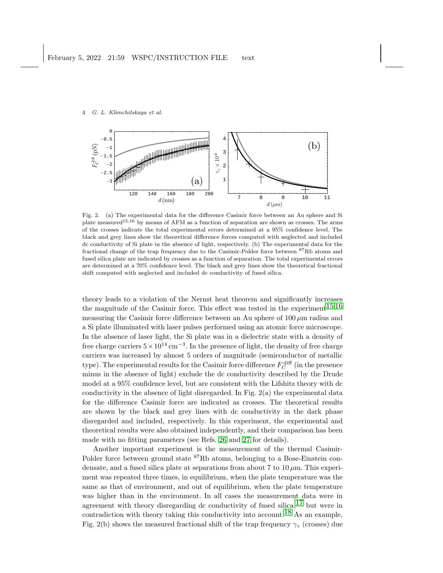

Fig. 2. (a) The experimental data for the difference Casimir force between an Au sphere and Si plate measured15,<sup>16</sup> by means of AFM as a function of separation are shown as crosses. The arms of the crosses indicate the total experimental errors determined at a 95% confidence level. The black and grey lines show the theoretical difference forces computed with neglected and included dc conductivity of Si plate in the absence of light, respectively. (b) The experimental data for the fractional change of the trap frequency due to the Casimir-Polder force between <sup>87</sup>Rb atoms and fused silica plate are indicated by crosses as a function of separation. The total experimental errors are determined at a 70% confidence level. The black and grey lines show the theoretical fractional shift computed with neglected and included dc conductivity of fused silica.

theory leads to a violation of the Nernst heat theorem and significantly increases the magnitude of the Casimir force. This effect was tested in the experiment  $15,16$  $15,16$ measuring the Casimir force difference between an Au sphere of  $100 \mu m$  radius and a Si plate illuminated with laser pulses performed using an atomic force microscope. In the absence of laser light, the Si plate was in a dielectric state with a density of free charge carriers  $5 \times 10^{14} \text{ cm}^{-3}$ . In the presence of light, the density of free charge carriers was increased by almost 5 orders of magnitude (semiconductor of metallic type). The experimental results for the Casimir force difference  $F_C^{\text{diff}}$  (in the presence minus in the absence of light) exclude the dc conductivity described by the Drude model at a 95% confidence level, but are consistent with the Lifshitz theory with dc conductivity in the absence of light disregarded. In Fig. 2(a) the experimental data for the difference Casimir force are indicated as crosses. The theoretical results are shown by the black and grey lines with dc conductivity in the dark phase disregarded and included, respectively. In this experiment, the experimental and theoretical results were also obtained independently, and their comparison has been made with no fitting parameters (see Refs. [26](#page-11-15) and [27](#page-11-16) for details).

Another important experiment is the measurement of the thermal Casimir-Polder force between ground state <sup>87</sup>Rb atoms, belonging to a Bose-Einstein condensate, and a fused silica plate at separations from about 7 to  $10 \mu m$ . This experiment was repeated three times, in equilibrium, when the plate temperature was the same as that of environment, and out of equilibrium, when the plate temperature was higher than in the environment. In all cases the measurement data were in agreement with theory disregarding dc conductivity of fused silica,  $17$  but were in contradiction with theory taking this conductivity into account.<sup>[18](#page-11-8)</sup> As an example, Fig. 2(b) shows the measured fractional shift of the trap frequency  $\gamma_z$  (crosses) due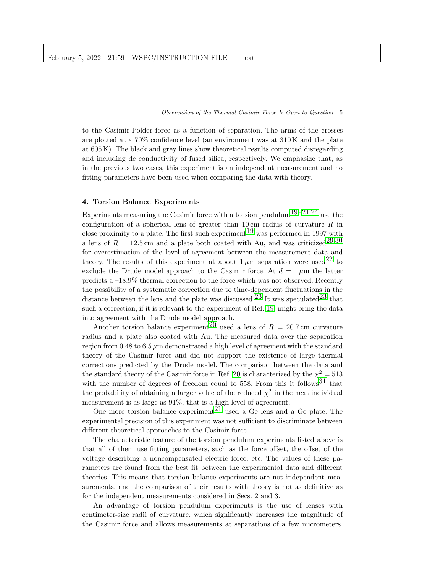to the Casimir-Polder force as a function of separation. The arms of the crosses are plotted at a 70% confidence level (an environment was at 310 K and the plate at 605 K). The black and grey lines show theoretical results computed disregarding and including dc conductivity of fused silica, respectively. We emphasize that, as in the previous two cases, this experiment is an independent measurement and no fitting parameters have been used when comparing the data with theory.

## 4. Torsion Balance Experiments

Experiments measuring the Casimir force with a torsion pendulum<sup>19–[21](#page-11-10),[24](#page-11-13)</sup> use the configuration of a spherical lens of greater than  $10 \text{ cm}$  radius of curvature R in close proximity to a plate. The first such experiment  $19$  was performed in 1997 with a lens of  $R = 12.5$  cm and a plate both coated with Au, and was criticized<sup>29,[30](#page-11-19)</sup> for overestimation of the level of agreement between the measurement data and theory. The results of this experiment at about  $1 \mu$ m separation were used<sup>22</sup> to exclude the Drude model approach to the Casimir force. At  $d = 1 \mu m$  the latter predicts a –18.9% thermal correction to the force which was not observed. Recently the possibility of a systematic correction due to time-dependent fluctuations in the distance between the lens and the plate was discussed.<sup>[23](#page-11-12)</sup> It was speculated<sup>23</sup> that such a correction, if it is relevant to the experiment of Ref. [19,](#page-11-9) might bring the data into agreement with the Drude model approach.

Another torsion balance experiment<sup>20</sup> used a lens of  $R = 20.7$  cm curvature radius and a plate also coated with Au. The measured data over the separation region from 0.48 to  $6.5 \mu$ m demonstrated a high level of agreement with the standard theory of the Casimir force and did not support the existence of large thermal corrections predicted by the Drude model. The comparison between the data and the standard theory of the Casimir force in Ref. [20](#page-11-20) is characterized by the  $\chi^2 = 513$ with the number of degrees of freedom equal to 558. From this it follows<sup>[31](#page-11-21)</sup> that the probability of obtaining a larger value of the reduced  $\chi^2$  in the next individual measurement is as large as 91%, that is a high level of agreement.

One more torsion balance experiment<sup>21</sup> used a Ge lens and a Ge plate. The experimental precision of this experiment was not sufficient to discriminate between different theoretical approaches to the Casimir force.

The characteristic feature of the torsion pendulum experiments listed above is that all of them use fitting parameters, such as the force offset, the offset of the voltage describing a noncompensated electric force, etc. The values of these parameters are found from the best fit between the experimental data and different theories. This means that torsion balance experiments are not independent measurements, and the comparison of their results with theory is not as definitive as for the independent measurements considered in Secs. 2 and 3.

An advantage of torsion pendulum experiments is the use of lenses with centimeter-size radii of curvature, which significantly increases the magnitude of the Casimir force and allows measurements at separations of a few micrometers.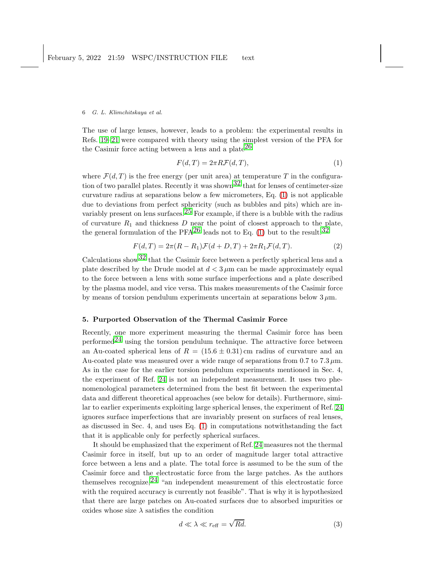The use of large lenses, however, leads to a problem: the experimental results in Refs. [19–](#page-11-9)[21](#page-11-10) were compared with theory using the simplest version of the PFA for the Casimir force acting between a lens and a plate<sup>[26](#page-11-15)</sup>

<span id="page-5-0"></span>
$$
F(d,T) = 2\pi R \mathcal{F}(d,T),\tag{1}
$$

where  $\mathcal{F}(d,T)$  is the free energy (per unit area) at temperature T in the configuration of two parallel plates. Recently it was shown<sup>32</sup> that for lenses of centimeter-size curvature radius at separations below a few micrometers, Eq. [\(1\)](#page-5-0) is not applicable due to deviations from perfect sphericity (such as bubbles and pits) which are invariably present on lens surfaces.  $25$  For example, if there is a bubble with the radius of curvature  $R_1$  and thickness  $D$  near the point of closest approach to the plate, the general formulation of the PFA<sup>26</sup> leads not to Eq. [\(1\)](#page-5-0) but to the result:<sup>[32](#page-11-22)</sup>

<span id="page-5-2"></span>
$$
F(d,T) = 2\pi (R - R_1)\mathcal{F}(d+D,T) + 2\pi R_1 \mathcal{F}(d,T). \tag{2}
$$

Calculations show  $32$  that the Casimir force between a perfectly spherical lens and a plate described by the Drude model at  $d < 3 \mu$ m can be made approximately equal to the force between a lens with some surface imperfections and a plate described by the plasma model, and vice versa. This makes measurements of the Casimir force by means of torsion pendulum experiments uncertain at separations below  $3 \mu m$ .

# 5. Purported Observation of the Thermal Casimir Force

Recently, one more experiment measuring the thermal Casimir force has been performed<sup>24</sup> using the torsion pendulum technique. The attractive force between an Au-coated spherical lens of  $R = (15.6 \pm 0.31)$  cm radius of curvature and an Au-coated plate was measured over a wide range of separations from 0.7 to 7.3  $\mu$ m. As in the case for the earlier torsion pendulum experiments mentioned in Sec. 4, the experiment of Ref. [24](#page-11-13) is not an independent measurement. It uses two phenomenological parameters determined from the best fit between the experimental data and different theoretical approaches (see below for details). Furthermore, similar to earlier experiments exploiting large spherical lenses, the experiment of Ref. [24](#page-11-13) ignores surface imperfections that are invariably present on surfaces of real lenses, as discussed in Sec. 4, and uses Eq. [\(1\)](#page-5-0) in computations notwithstanding the fact that it is applicable only for perfectly spherical surfaces.

It should be emphasized that the experiment of Ref. [24](#page-11-13) measures not the thermal Casimir force in itself, but up to an order of magnitude larger total attractive force between a lens and a plate. The total force is assumed to be the sum of the Casimir force and the electrostatic force from the large patches. As the authors themselves recognize,  $24$  "an independent measurement of this electrostatic force with the required accuracy is currently not feasible". That is why it is hypothesized that there are large patches on Au-coated surfaces due to absorbed impurities or oxides whose size  $\lambda$  satisfies the condition

<span id="page-5-1"></span>
$$
d \ll \lambda \ll r_{\text{eff}} = \sqrt{Rd}.\tag{3}
$$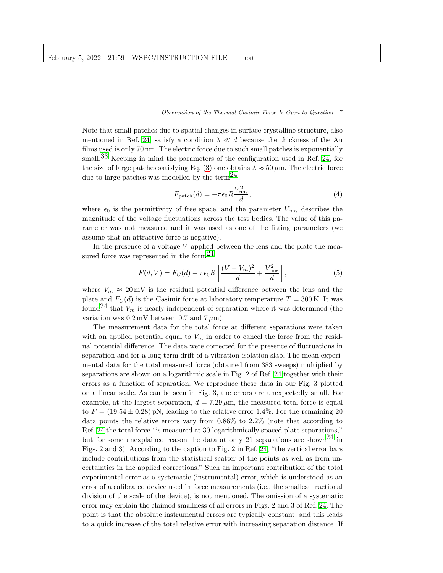Note that small patches due to spatial changes in surface crystalline structure, also mentioned in Ref. [24,](#page-11-13) satisfy a condition  $\lambda \ll d$  because the thickness of the Au films used is only 70 nm. The electric force due to such small patches is exponentially small.<sup>[33](#page-11-23)</sup> Keeping in mind the parameters of the configuration used in Ref. [24,](#page-11-13) for the size of large patches satisfying Eq. [\(3\)](#page-5-1) one obtains  $\lambda \approx 50 \,\mu \text{m}$ . The electric force due to large patches was modelled by the term<sup>24</sup>

$$
F_{\text{patch}}(d) = -\pi \epsilon_0 R \frac{V_{\text{rms}}^2}{d},\tag{4}
$$

where  $\epsilon_0$  is the permittivity of free space, and the parameter  $V_{\rm rms}$  describes the magnitude of the voltage fluctuations across the test bodies. The value of this parameter was not measured and it was used as one of the fitting parameters (we assume that an attractive force is negative).

In the presence of a voltage  $V$  applied between the lens and the plate the measured force was represented in the form $^{24}$ 

<span id="page-6-0"></span>
$$
F(d, V) = F_C(d) - \pi \epsilon_0 R \left[ \frac{(V - V_m)^2}{d} + \frac{V_{\text{rms}}^2}{d} \right],
$$
 (5)

where  $V_m \approx 20 \,\text{mV}$  is the residual potential difference between the lens and the plate and  $F_C(d)$  is the Casimir force at laboratory temperature  $T = 300$  K. It was found<sup>24</sup> that  $V_m$  is nearly independent of separation where it was determined (the variation was  $0.2 \,\mathrm{mV}$  between  $0.7$  and  $7 \,\mathrm{\mu m}$ ).

The measurement data for the total force at different separations were taken with an applied potential equal to  $V_m$  in order to cancel the force from the residual potential difference. The data were corrected for the presence of fluctuations in separation and for a long-term drift of a vibration-isolation slab. The mean experimental data for the total measured force (obtained from 383 sweeps) multiplied by separations are shown on a logarithmic scale in Fig. 2 of Ref. [24](#page-11-13) together with their errors as a function of separation. We reproduce these data in our Fig. 3 plotted on a linear scale. As can be seen in Fig. 3, the errors are unexpectedly small. For example, at the largest separation,  $d = 7.29 \,\mu \text{m}$ , the measured total force is equal to  $F = (19.54 \pm 0.28)$  pN, leading to the relative error 1.4%. For the remaining 20 data points the relative errors vary from 0.86% to 2.2% (note that according to Ref. [24](#page-11-13) the total force "is measured at 30 logarithmically spaced plate separations," but for some unexplained reason the data at only 21 separations are shown<sup>24</sup> in Figs. 2 and 3). According to the caption to Fig. 2 in Ref. [24,](#page-11-13) "the vertical error bars include contributions from the statistical scatter of the points as well as from uncertainties in the applied corrections." Such an important contribution of the total experimental error as a systematic (instrumental) error, which is understood as an error of a calibrated device used in force measurements (i.e., the smallest fractional division of the scale of the device), is not mentioned. The omission of a systematic error may explain the claimed smallness of all errors in Figs. 2 and 3 of Ref. [24.](#page-11-13) The point is that the absolute instrumental errors are typically constant, and this leads to a quick increase of the total relative error with increasing separation distance. If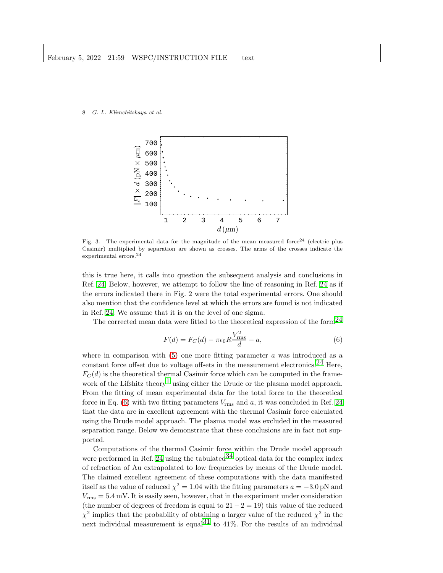

Fig. 3. The experimental data for the magnitude of the mean measured force<sup>24</sup> (electric plus Casimir) multiplied by separation are shown as crosses. The arms of the crosses indicate the experimental errors.<sup>24</sup>

this is true here, it calls into question the subsequent analysis and conclusions in Ref. [24.](#page-11-13) Below, however, we attempt to follow the line of reasoning in Ref. [24](#page-11-13) as if the errors indicated there in Fig. 2 were the total experimental errors. One should also mention that the confidence level at which the errors are found is not indicated in Ref. [24.](#page-11-13) We assume that it is on the level of one sigma.

The corrected mean data were fitted to the theoretical expression of the form<sup>24</sup>

<span id="page-7-0"></span>
$$
F(d) = F_C(d) - \pi \epsilon_0 R \frac{V_{\text{rms}}^2}{d} - a,\tag{6}
$$

where in comparison with  $(5)$  one more fitting parameter a was introduced as a constant force offset due to voltage offsets in the measurement electronics.<sup>[24](#page-11-13)</sup> Here,  $F<sub>C</sub>(d)$  is the theoretical thermal Casimir force which can be computed in the frame-work of the Lifshitz theory<sup>[1](#page-10-0)</sup> using either the Drude or the plasma model approach. From the fitting of mean experimental data for the total force to the theoretical force in Eq.  $(6)$  with two fitting parameters  $V_{\rm rms}$  and  $a$ , it was concluded in Ref. [24](#page-11-13) that the data are in excellent agreement with the thermal Casimir force calculated using the Drude model approach. The plasma model was excluded in the measured separation range. Below we demonstrate that these conclusions are in fact not supported.

Computations of the thermal Casimir force within the Drude model approach were performed in Ref. [24](#page-11-13) using the tabulated  $34$  optical data for the complex index of refraction of Au extrapolated to low frequencies by means of the Drude model. The claimed excellent agreement of these computations with the data manifested itself as the value of reduced  $\chi^2 = 1.04$  with the fitting parameters  $a = -3.0$  pN and  $V_{\rm rms} = 5.4 \,\rm mV$ . It is easily seen, however, that in the experiment under consideration (the number of degrees of freedom is equal to  $21 - 2 = 19$ ) this value of the reduced  $\chi^2$  implies that the probability of obtaining a larger value of the reduced  $\chi^2$  in the next individual measurement is equal<sup>[31](#page-11-21)</sup> to 41%. For the results of an individual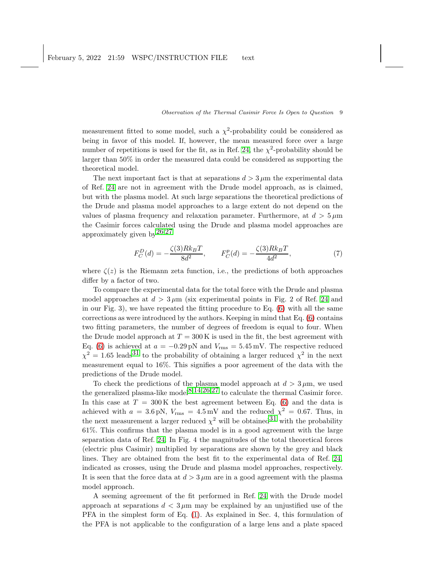measurement fitted to some model, such a  $\chi^2$ -probability could be considered as being in favor of this model. If, however, the mean measured force over a large number of repetitions is used for the fit, as in Ref. [24,](#page-11-13) the  $\chi^2$ -probability should be larger than 50% in order the measured data could be considered as supporting the theoretical model.

The next important fact is that at separations  $d > 3 \mu$ m the experimental data of Ref. [24](#page-11-13) are not in agreement with the Drude model approach, as is claimed, but with the plasma model. At such large separations the theoretical predictions of the Drude and plasma model approaches to a large extent do not depend on the values of plasma frequency and relaxation parameter. Furthermore, at  $d > 5 \,\mu m$ the Casimir forces calculated using the Drude and plasma model approaches are approximately given by  $26,27$  $26,27$  $26,27$ 

$$
F_C^D(d) = -\frac{\zeta(3)Rk_BT}{8d^2}, \qquad F_C^p(d) = -\frac{\zeta(3)Rk_BT}{4d^2},\tag{7}
$$

where  $\zeta(z)$  is the Riemann zeta function, i.e., the predictions of both approaches differ by a factor of two.

To compare the experimental data for the total force with the Drude and plasma model approaches at  $d > 3 \mu m$  (six experimental points in Fig. 2 of Ref. [24](#page-11-13) and in our Fig. 3), we have repeated the fitting procedure to Eq.  $(6)$  with all the same corrections as were introduced by the authors. Keeping in mind that Eq. [\(6\)](#page-7-0) contains two fitting parameters, the number of degrees of freedom is equal to four. When the Drude model approach at  $T = 300 \text{ K}$  is used in the fit, the best agreement with Eq. [\(6\)](#page-7-0) is achieved at  $a = -0.29$  pN and  $V_{\text{rms}} = 5.45$  mV. The respective reduced  $\chi^2 = 1.65$  leads<sup>[31](#page-11-21)</sup> to the probability of obtaining a larger reduced  $\chi^2$  in the next measurement equal to 16%. This signifies a poor agreement of the data with the predictions of the Drude model.

To check the predictions of the plasma model approach at  $d > 3 \mu$ m, we used the generalized plasma-like model<sup>[8](#page-11-0),[14](#page-11-4),[26](#page-11-15),[27](#page-11-16)</sup> to calculate the thermal Casimir force. In this case at  $T = 300 \text{ K}$  the best agreement between Eq. [\(6\)](#page-7-0) and the data is achieved with  $a = 3.6 \text{ pN}$ ,  $V_{\text{rms}} = 4.5 \text{ mV}$  and the reduced  $\chi^2 = 0.67$ . Thus, in the next measurement a larger reduced  $\chi^2$  will be obtained <sup>31</sup> with the probability 61%. This confirms that the plasma model is in a good agreement with the large separation data of Ref. [24.](#page-11-13) In Fig. 4 the magnitudes of the total theoretical forces (electric plus Casimir) multiplied by separations are shown by the grey and black lines. They are obtained from the best fit to the experimental data of Ref. [24,](#page-11-13) indicated as crosses, using the Drude and plasma model approaches, respectively. It is seen that the force data at  $d > 3 \mu m$  are in a good agreement with the plasma model approach.

A seeming agreement of the fit performed in Ref. [24](#page-11-13) with the Drude model approach at separations  $d < 3 \mu m$  may be explained by an unjustified use of the PFA in the simplest form of Eq. [\(1\)](#page-5-0). As explained in Sec. 4, this formulation of the PFA is not applicable to the configuration of a large lens and a plate spaced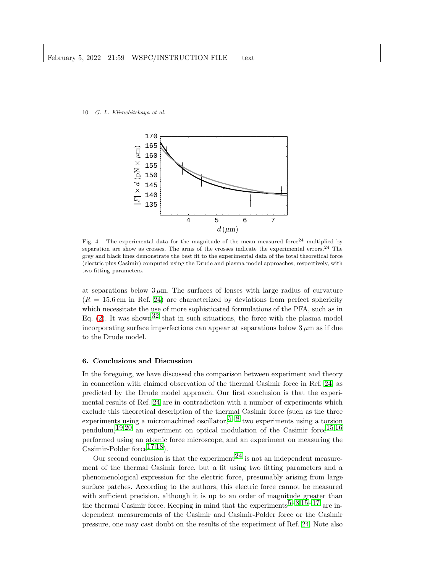

Fig. 4. The experimental data for the magnitude of the mean measured force<sup>24</sup> multiplied by separation are show as crosses. The arms of the crosses indicate the experimental errors.<sup>24</sup> The grey and black lines demonstrate the best fit to the experimental data of the total theoretical force (electric plus Casimir) computed using the Drude and plasma model approaches, respectively, with two fitting parameters.

at separations below  $3 \mu$ m. The surfaces of lenses with large radius of curvature  $(R = 15.6 \text{ cm}$  in Ref. [24\)](#page-11-13) are characterized by deviations from perfect sphericity which necessitate the use of more sophisticated formulations of the PFA, such as in Eq. [\(2\)](#page-5-2). It was shown<sup>32</sup> that in such situations, the force with the plasma model incorporating surface imperfections can appear at separations below  $3 \mu$ m as if due to the Drude model.

# 6. Conclusions and Discussion

In the foregoing, we have discussed the comparison between experiment and theory in connection with claimed observation of the thermal Casimir force in Ref. [24,](#page-11-13) as predicted by the Drude model approach. Our first conclusion is that the experimental results of Ref. [24](#page-11-13) are in contradiction with a number of experiments which exclude this theoretical description of the thermal Casimir force (such as the three experiments using a micromachined oscillator,  $5-8$  $5-8$  two experiments using a torsion pendulum,  $19,20$  $19,20$  $19,20$  an experiment on optical modulation of the Casimir force  $15,16$  $15,16$  $15,16$ performed using an atomic force microscope, and an experiment on measuring the Casimir-Polder force  $^{17,18}$  $^{17,18}$  $^{17,18}$ ).

Our second conclusion is that the experiment  $^{24}$  is not an independent measurement of the thermal Casimir force, but a fit using two fitting parameters and a phenomenological expression for the electric force, presumably arising from large surface patches. According to the authors, this electric force cannot be measured with sufficient precision, although it is up to an order of magnitude greater than the thermal Casimir force. Keeping in mind that the experiments  $5-8,15-17$  $5-8,15-17$  $5-8,15-17$  $5-8,15-17$  are independent measurements of the Casimir and Casimir-Polder force or the Casimir pressure, one may cast doubt on the results of the experiment of Ref. [24.](#page-11-13) Note also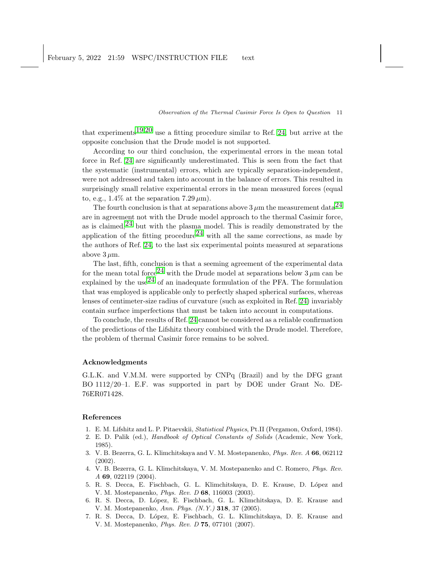that experiments<sup>[19](#page-11-9),[20](#page-11-20)</sup> use a fitting procedure similar to Ref. [24,](#page-11-13) but arrive at the opposite conclusion that the Drude model is not supported.

According to our third conclusion, the experimental errors in the mean total force in Ref. [24](#page-11-13) are significantly underestimated. This is seen from the fact that the systematic (instrumental) errors, which are typically separation-independent, were not addressed and taken into account in the balance of errors. This resulted in surprisingly small relative experimental errors in the mean measured forces (equal to, e.g., 1.4% at the separation 7.29  $\mu$ m).

The fourth conclusion is that at separations above  $3 \mu$ m the measurement data<sup>[24](#page-11-13)</sup> are in agreement not with the Drude model approach to the thermal Casimir force, as is claimed,  $24$  but with the plasma model. This is readily demonstrated by the application of the fitting procedure<sup>[24](#page-11-13)</sup> with all the same corrections, as made by the authors of Ref. [24,](#page-11-13) to the last six experimental points measured at separations above  $3 \mu m$ .

The last, fifth, conclusion is that a seeming agreement of the experimental data for the mean total force  $24$  with the Drude model at separations below  $3 \mu$ m can be explained by the use<sup>[24](#page-11-13)</sup> of an inadequate formulation of the PFA. The formulation that was employed is applicable only to perfectly shaped spherical surfaces, whereas lenses of centimeter-size radius of curvature (such as exploited in Ref. [24\)](#page-11-13) invariably contain surface imperfections that must be taken into account in computations.

To conclude, the results of Ref. [24](#page-11-13) cannot be considered as a reliable confirmation of the predictions of the Lifshitz theory combined with the Drude model. Therefore, the problem of thermal Casimir force remains to be solved.

## Acknowledgments

G.L.K. and V.M.M. were supported by CNPq (Brazil) and by the DFG grant BO 1112/20–1. E.F. was supported in part by DOE under Grant No. DE-76ER071428.

## <span id="page-10-0"></span>References

- <span id="page-10-1"></span>1. E. M. Lifshitz and L. P. Pitaevskii, Statistical Physics, Pt.II (Pergamon, Oxford, 1984).
- 2. E. D. Palik (ed.), Handbook of Optical Constants of Solids (Academic, New York, 1985).
- <span id="page-10-2"></span>3. V. B. Bezerra, G. L. Klimchitskaya and V. M. Mostepanenko, Phys. Rev. A 66, 062112 (2002).
- <span id="page-10-3"></span>4. V. B. Bezerra, G. L. Klimchitskaya, V. M. Mostepanenko and C. Romero, Phys. Rev. A 69, 022119 (2004).
- <span id="page-10-4"></span>5. R. S. Decca, E. Fischbach, G. L. Klimchitskaya, D. E. Krause, D. López and V. M. Mostepanenko, Phys. Rev. D 68, 116003 (2003).
- <span id="page-10-6"></span>6. R. S. Decca, D. L´opez, E. Fischbach, G. L. Klimchitskaya, D. E. Krause and V. M. Mostepanenko, Ann. Phys. (N.Y.) 318, 37 (2005).
- <span id="page-10-5"></span>7. R. S. Decca, D. L´opez, E. Fischbach, G. L. Klimchitskaya, D. E. Krause and V. M. Mostepanenko, Phys. Rev. D 75, 077101 (2007).